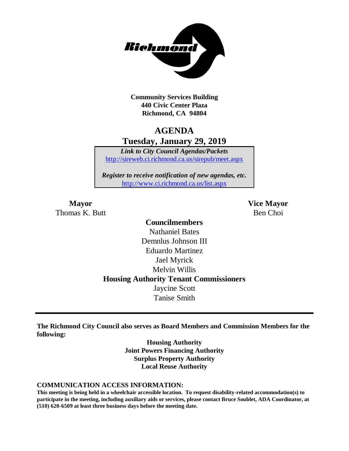

**Community Services Building 440 Civic Center Plaza Richmond, CA 94804**

# **AGENDA Tuesday, January 29, 2019**

*Link to City Council Agendas/Packets* <http://sireweb.ci.richmond.ca.us/sirepub/meet.aspx>

*Register to receive notification of new agendas, etc.* <http://www.ci.richmond.ca.us/list.aspx>

Thomas K. Butt Ben Choi

**Mayor Vice Mayor**

### **Councilmembers** Nathaniel Bates Demnlus Johnson III Eduardo Martinez Jael Myrick Melvin Willis **Housing Authority Tenant Commissioners** Jaycine Scott Tanise Smith

**The Richmond City Council also serves as Board Members and Commission Members for the following:**

> **Housing Authority Joint Powers Financing Authority Surplus Property Authority Local Reuse Authority**

#### **COMMUNICATION ACCESS INFORMATION:**

**This meeting is being held in a wheelchair accessible location. To request disability-related accommodation(s) to participate in the meeting, including auxiliary aids or services, please contact Bruce Soublet, ADA Coordinator, at (510) 620-6509 at least three business days before the meeting date.**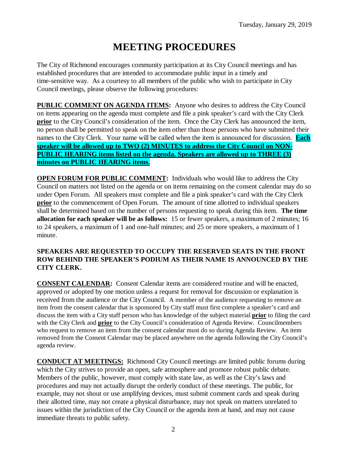# **MEETING PROCEDURES**

The City of Richmond encourages community participation at its City Council meetings and has established procedures that are intended to accommodate public input in a timely and time-sensitive way. As a courtesy to all members of the public who wish to participate in City Council meetings, please observe the following procedures:

**PUBLIC COMMENT ON AGENDA ITEMS:** Anyone who desires to address the City Council on items appearing on the agenda must complete and file a pink speaker's card with the City Clerk **prior** to the City Council's consideration of the item. Once the City Clerk has announced the item, no person shall be permitted to speak on the item other than those persons who have submitted their names to the City Clerk. Your name will be called when the item is announced for discussion. **Each speaker will be allowed up to TWO (2) MINUTES to address the City Council on NON-PUBLIC HEARING items listed on the agenda. Speakers are allowed up to THREE (3) minutes on PUBLIC HEARING items.**

**OPEN FORUM FOR PUBLIC COMMENT:** Individuals who would like to address the City Council on matters not listed on the agenda or on items remaining on the consent calendar may do so under Open Forum. All speakers must complete and file a pink speaker's card with the City Clerk **prior** to the commencement of Open Forum. The amount of time allotted to individual speakers shall be determined based on the number of persons requesting to speak during this item. **The time allocation for each speaker will be as follows:** 15 or fewer speakers, a maximum of 2 minutes; 16 to 24 speakers, a maximum of 1 and one-half minutes; and 25 or more speakers, a maximum of 1 minute.

### **SPEAKERS ARE REQUESTED TO OCCUPY THE RESERVED SEATS IN THE FRONT ROW BEHIND THE SPEAKER'S PODIUM AS THEIR NAME IS ANNOUNCED BY THE CITY CLERK.**

**CONSENT CALENDAR:** Consent Calendar items are considered routine and will be enacted, approved or adopted by one motion unless a request for removal for discussion or explanation is received from the audience or the City Council. A member of the audience requesting to remove an item from the consent calendar that is sponsored by City staff must first complete a speaker's card and discuss the item with a City staff person who has knowledge of the subject material **prior** to filing the card with the City Clerk and **prior** to the City Council's consideration of Agenda Review. Councilmembers who request to remove an item from the consent calendar must do so during Agenda Review. An item removed from the Consent Calendar may be placed anywhere on the agenda following the City Council's agenda review.

**CONDUCT AT MEETINGS:** Richmond City Council meetings are limited public forums during which the City strives to provide an open, safe atmosphere and promote robust public debate. Members of the public, however, must comply with state law, as well as the City's laws and procedures and may not actually disrupt the orderly conduct of these meetings. The public, for example, may not shout or use amplifying devices, must submit comment cards and speak during their allotted time, may not create a physical disturbance, may not speak on matters unrelated to issues within the jurisdiction of the City Council or the agenda item at hand, and may not cause immediate threats to public safety.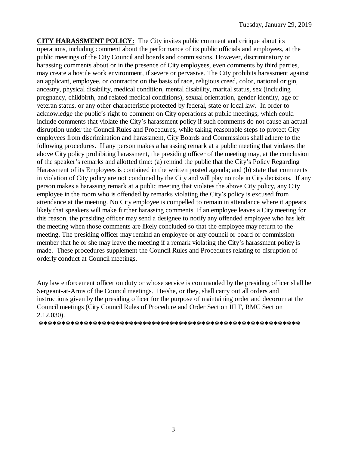**CITY HARASSMENT POLICY:** The City invites public comment and critique about its operations, including comment about the performance of its public officials and employees, at the public meetings of the City Council and boards and commissions. However, discriminatory or harassing comments about or in the presence of City employees, even comments by third parties, may create a hostile work environment, if severe or pervasive. The City prohibits harassment against an applicant, employee, or contractor on the basis of race, religious creed, color, national origin, ancestry, physical disability, medical condition, mental disability, marital status, sex (including pregnancy, childbirth, and related medical conditions), sexual orientation, gender identity, age or veteran status, or any other characteristic protected by federal, state or local law. In order to acknowledge the public's right to comment on City operations at public meetings, which could include comments that violate the City's harassment policy if such comments do not cause an actual disruption under the Council Rules and Procedures, while taking reasonable steps to protect City employees from discrimination and harassment, City Boards and Commissions shall adhere to the following procedures. If any person makes a harassing remark at a public meeting that violates the above City policy prohibiting harassment, the presiding officer of the meeting may, at the conclusion of the speaker's remarks and allotted time: (a) remind the public that the City's Policy Regarding Harassment of its Employees is contained in the written posted agenda; and (b) state that comments in violation of City policy are not condoned by the City and will play no role in City decisions. If any person makes a harassing remark at a public meeting that violates the above City policy, any City employee in the room who is offended by remarks violating the City's policy is excused from attendance at the meeting. No City employee is compelled to remain in attendance where it appears likely that speakers will make further harassing comments. If an employee leaves a City meeting for this reason, the presiding officer may send a designee to notify any offended employee who has left the meeting when those comments are likely concluded so that the employee may return to the meeting. The presiding officer may remind an employee or any council or board or commission member that he or she may leave the meeting if a remark violating the City's harassment policy is made. These procedures supplement the Council Rules and Procedures relating to disruption of orderly conduct at Council meetings.

Any law enforcement officer on duty or whose service is commanded by the presiding officer shall be Sergeant-at-Arms of the Council meetings. He/she, or they, shall carry out all orders and instructions given by the presiding officer for the purpose of maintaining order and decorum at the Council meetings (City Council Rules of Procedure and Order Section III F, RMC Section 2.12.030).

**\*\*\*\*\*\*\*\*\*\*\*\*\*\*\*\*\*\*\*\*\*\*\*\*\*\*\*\*\*\*\*\*\*\*\*\*\*\*\*\*\*\*\*\*\*\*\*\*\*\*\*\*\*\*\*\*\*\***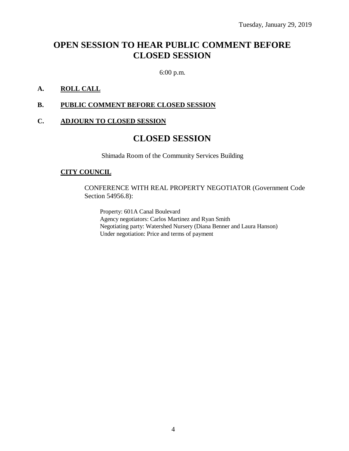# **OPEN SESSION TO HEAR PUBLIC COMMENT BEFORE CLOSED SESSION**

6:00 p.m.

### **A. ROLL CALL**

#### **B. PUBLIC COMMENT BEFORE CLOSED SESSION**

#### **C. ADJOURN TO CLOSED SESSION**

### **CLOSED SESSION**

Shimada Room of the Community Services Building

#### **CITY COUNCIL**

CONFERENCE WITH REAL PROPERTY NEGOTIATOR (Government Code Section 54956.8):

Property: 601A Canal Boulevard Agency negotiators: Carlos Martinez and Ryan Smith Negotiating party: Watershed Nursery (Diana Benner and Laura Hanson) Under negotiation: Price and terms of payment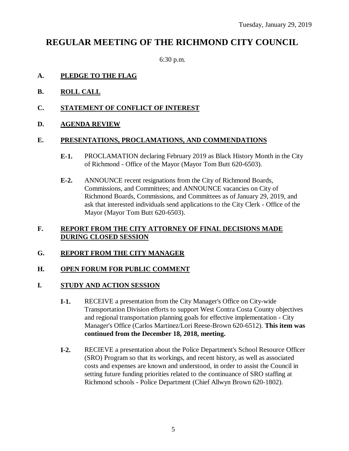# **REGULAR MEETING OF THE RICHMOND CITY COUNCIL**

6:30 p.m.

### **A. PLEDGE TO THE FLAG**

- **B. ROLL CALL**
- **C. STATEMENT OF CONFLICT OF INTEREST**
- **D. AGENDA REVIEW**

### **E. PRESENTATIONS, PROCLAMATIONS, AND COMMENDATIONS**

- **E-1.** PROCLAMATION declaring February 2019 as Black History Month in the City of Richmond - Office of the Mayor (Mayor Tom Butt 620-6503).
- **E-2.** ANNOUNCE recent resignations from the City of Richmond Boards, Commissions, and Committees; and ANNOUNCE vacancies on City of Richmond Boards, Commissions, and Committees as of January 29, 2019, and ask that interested individuals send applications to the City Clerk - Office of the Mayor (Mayor Tom Butt 620-6503).

### **F. REPORT FROM THE CITY ATTORNEY OF FINAL DECISIONS MADE DURING CLOSED SESSION**

### **G. REPORT FROM THE CITY MANAGER**

### **H. OPEN FORUM FOR PUBLIC COMMENT**

### **I. STUDY AND ACTION SESSION**

- **I-1.** RECEIVE a presentation from the City Manager's Office on City-wide Transportation Division efforts to support West Contra Costa County objectives and regional transportation planning goals for effective implementation - City Manager's Office (Carlos Martinez/Lori Reese-Brown 620-6512). **This item was continued from the December 18, 2018, meeting.**
- **I-2.** RECIEVE a presentation about the Police Department's School Resource Officer (SRO) Program so that its workings, and recent history, as well as associated costs and expenses are known and understood, in order to assist the Council in setting future funding priorities related to the continuance of SRO staffing at Richmond schools - Police Department (Chief Allwyn Brown 620-1802).